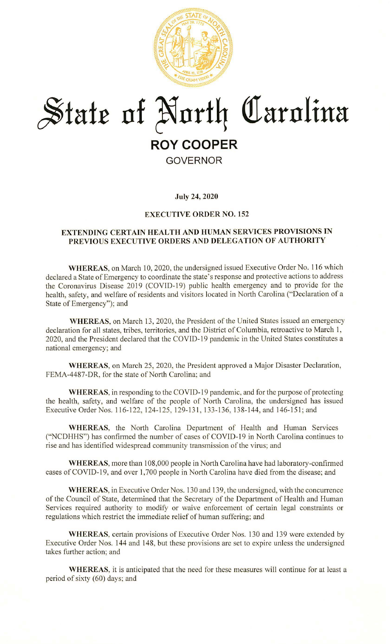

# **~fafr nf ~nrf4 <tlarnlina ROY COOPER GOVERNOR**

## **July 24, 2020**

#### **EXECUTIVE ORDER NO. 152**

# **EXTENDING CERTAIN HEALTH AND HUMAN SERVICES PROVISIONS IN PREVIOUS EXECUTIVE ORDERS AND DELEGATION OF AUTHORITY**

WHEREAS, on March 10, 2020, the undersigned issued Executive Order No. 116 which declared a State of Emergency to coordinate the state's response and protective actions to address the Coronavirus Disease 2019 (COVID-19) public health emergency and to provide for the health, safety, and welfare of residents and visitors located in North Carolina ("Declaration of a State of Emergency"); and

**WHEREAS,** on March 13, 2020, the President of the United States issued an emergency declaration for all states, tribes, territories, and the District of Columbia, retroactive to March 1, 2020, and the President declared that the COVID-19 pandemic in the United States constitutes a national emergency; and

**WHEREAS,** on March 25, 2020, the President approved a Major Disaster Declaration, FEMA-4487-DR, for the state of North Carolina; and

**WHEREAS**, in responding to the COVID-19 pandemic, and for the purpose of protecting the health, safety, and welfare of the people of North Carolina, the undersigned has issued Executive Order Nos. 116-122, 124-125, 129-131, 133-136, 138-144, and 146-151; and

**WHEREAS,** the North Carolina Department of Health and Human Services ("NCDHHS") has confirmed the number of cases of COVID-19 in North Carolina continues to rise and has identified widespread community transmission of the virus; and

**WHEREAS,** more than 108,000 people in North Carolina have had laboratory-confirmed cases of COVID-19, and over 1,700 people in North Carolina have died from the disease; and

**WHEREAS,** in Executive Order Nos. 130 and 139, the undersigned, with the concurrence of the Council of State, determined that the Secretary of the Department of Health and Human Services required authority to modify or waive enforcement of certain legal constraints or regulations which restrict the immediate relief of human suffering; and

**WHEREAS,** certain provisions of Executive Order Nos. 130 and 139 were extended by Executive Order Nos. 144 and 148, but these provisions are set to expire unless the undersigned takes further action; and

**WHEREAS,** it is anticipated that the need for these measures will continue for at least a period of sixty  $(60)$  days; and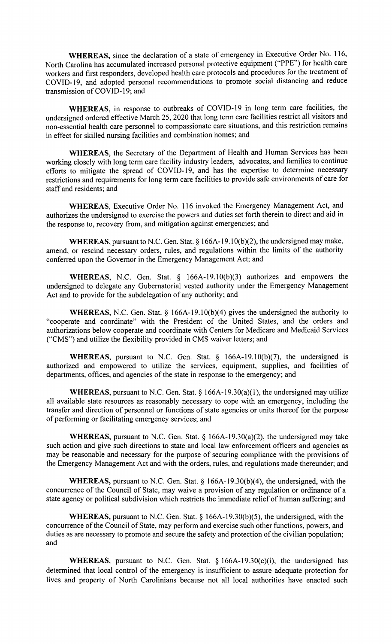**WHEREAS,** since the declaration of a state of emergency in Executive Order No. 116, North Carolina has accumulated increased personal protective equipment ('"PPE") for health care workers and first responders, developed health care protocols and procedures for the treatment of COVID-19, and adopted personal recommendations to promote social distancing and reduce transmission of COVID-19; and

**WHEREAS,** in response to outbreaks of COVID-19 in long term care facilities, the undersigned ordered effective March 25, 2020 that long term care facilities restrict all visitors and non-essential health care personnel to compassionate care situations, and this restriction remains in effect for skilled nursing facilities and combination homes; and

**WHEREAS,** the Secretary of the Department of Health and Human Services has been working closely with long term care facility industry leaders, advocates, and families to continue efforts to mitigate the spread of COVID-19, and has the expertise to determine necessary restrictions and requirements for long term care facilities to provide safe environments of care for staff and residents; and

**WHEREAS,** Executive Order No. 116 invoked the Emergency Management Act, and authorizes the undersigned to exercise the powers and duties set forth therein to direct and aid in the response to, recovery from, and mitigation against emergencies; and

**WHEREAS, pursuant to N.C. Gen. Stat. § 166A-19.10(b)(2), the undersigned may make,** amend, or rescind necessary orders, rules, and regulations within the limits of the authority conferred upon the Governor in the Emergency Management Act; and

**WHEREAS,** N.C. Gen. Stat. § 166A-19.10(b)(3) authorizes and empowers the undersigned to delegate any Gubernatorial vested authority under the Emergency Management Act and to provide for the subdelegation of any authority; and

**WHEREAS,** N.C. Gen. Stat.§ 166A-19.10(b)(4) gives the undersigned the authority to "'cooperate and coordinate" with the President of the United States, and the orders and authorizations below cooperate and coordinate with Centers for Medicare and Medicaid Services ("CMS") and utilize the flexibility provided in CMS waiver letters; and

**WHEREAS,** pursuant to N.C. Gen. Stat. § 166A-19.10(b)(7), the undersigned is authorized and empowered to utilize the services, equipment, supplies, and facilities of departments, offices, and agencies of the state in response to the emergency; and

**WHEREAS,** pursuant to N.C. Gen. Stat. § 166A-19.30(a)(1), the undersigned may utilize all available state resources as reasonably necessary to cope with an emergency, including the transfer and direction of personnel or functions of state agencies or units thereof for the purpose of performing or facilitating emergency services; and

**WHEREAS,** pursuant to N.C. Gen. Stat. § l 66A-l 9.30(a)(2), the undersigned may take such action and give such directions to state and local law enforcement officers and agencies as may be reasonable and necessary for the purpose of securing compliance with the provisions of the Emergency Management Act and with the orders, rules, and regulations made thereunder; and

**WHEREAS,** pursuant to N.C. Gen. Stat.§ 166A-19.30(b)(4), the undersigned, with the concurrence of the Council of State, may waive a provision of any regulation or ordinance of a state agency or political subdivision which restricts the immediate relief of human suffering; and

**WHEREAS,** pursuant to N.C. Gen. Stat.§ 166A-19.30(b)(5), the undersigned, with the concurrence of the Council of State, may perform and exercise such other functions, powers, and duties as are necessary to promote and secure the safety and protection of the civilian population; and

**WHEREAS,** pursuant to N.C. Gen. Stat.  $\S$  166A-19.30(c)(i), the undersigned has determined that local control of the emergency is insuflicient to assure adequate protection for lives and property of North Carolinians because not all local authorities have enacted such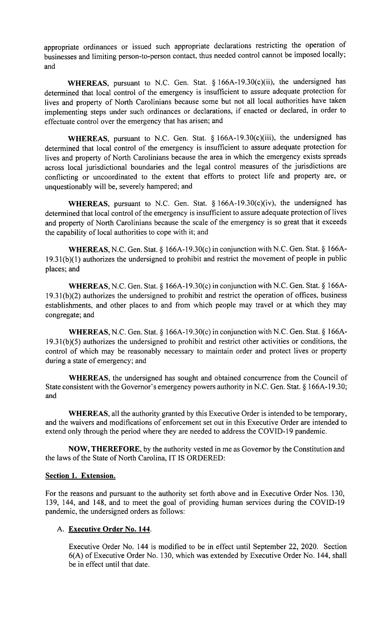appropriate ordinances or issued such appropriate declarations restricting the operation of businesses and limiting person-to-person contact, thus needed control cannot be imposed locally; and

**WHEREAS,** pursuant to N.C. Gen. Stat. § 166A-19.30(c)(ii), the undersigned has determined that local control of the emergency is insufficient to assure adequate protection for lives and property of North Carolinians because some but not all local authorities have taken implementing steps under such ordinances or declarations, if enacted or declared, in order to effectuate control over the emergency that has arisen; and

**WHEREAS,** pursuant to N.C. Gen. Stat. § 166A-19.30(c)(iii), the undersigned has determined that local control of the emergency is insufficient to assure adequate protection for lives and property of North Carolinians because the area in which the emergency exists spreads across local jurisdictional boundaries and the legal control measures of the jurisdictions are conflicting or uncoordinated to the extent that efforts to protect life and property are, or unquestionably will be, severely hampered; and

**WHEREAS,** pursuant to N.C. Gen. Stat. § 166A-19.30(c)(iv), the undersigned has determined that local control of the emergency is insufficient to assure adequate protection of lives and property of North Carolinians because the scale of the emergency is so great that it exceeds the capability of local authorities to cope with it; and

**WHEREAS,** N.C. Gen. Stat.§ 166A-19.30(c) in conjunction with N.C. Gen. Stat.§ 166A-19.31 (b)(1) authorizes the undersigned to prohibit and restrict the movement of people in public places; and

**WHEREAS,** N.C. Gen. Stat.§ 166A-19.30(c) in conjunction with N.C. Gen. Stat.§ 166A- $19.31(b)(2)$  authorizes the undersigned to prohibit and restrict the operation of offices, business establishments, and other places to and from which people may travel or at which they may congregate; and

**WHEREAS,** N.C. Gen. Stat.§ 166A-19.30(c) in conjunction with N.C. Gen. Stat.§ 166Al 9.3 l(b)(5) authorizes the undersigned to prohibit and restrict other activities or conditions, the control of which may be reasonably necessary to maintain order and protect lives or property during a state of emergency; and

**WHEREAS,** the undersigned has sought and obtained concurrence from the Council of State consistent with the Governor's emergency powers authority in N.C. Gen. Stat. § [166A-19.30](https://166A-19.30); and

**WHEREAS,** all the authority granted by this Executive Order is intended to be temporary, and the waivers and modifications of enforcement set out in this Executive Order are intended to extend only through the period where they are needed to address the COVID-19 pandemic.

**NOW, THEREFORE,** by the authority vested in me as Governor by the Constitution and the laws of the State of North Carolina, IT IS ORDERED:

# **Section 1. Extension.**

For the reasons and pursuant to the authority set forth above and in Executive Order Nos. 130, 139, 144, and 148, and to meet the goal of providing human services during the COVID-19 pandemic, the undersigned orders as follows:

## A. **Executive Order No. 144.**

Executive Order No. 144 is modified to be in effect until September 22, 2020. Section 6(A) of Executive Order No. 130, which was extended by Executive Order No. 144, shall be in effect until that date.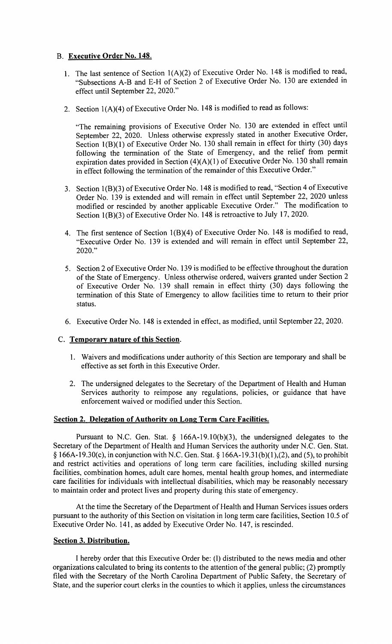# B. **Executive Order No. 148.**

- 1. The last sentence of Section  $1(A)(2)$  of Executive Order No. 148 is modified to read, '"Subsections A-B and E-H of Section 2 of Executive Order No. 130 are extended in effect until September 22, 2020."
- 2. Section  $1(A)(4)$  of Executive Order No. 148 is modified to read as follows:

'"The remaining provisions of Executive Order No. 130 are extended in effect until September 22, 2020. Unless otherwise expressly stated in another Executive Order, Section  $1(B)(1)$  of Executive Order No. 130 shall remain in effect for thirty (30) days following the termination of the State of Emergency, and the relief from permit expiration dates provided in Section  $(4)(A)(1)$  of Executive Order No. 130 shall remain in effect following the termination of the remainder of this Executive Order."

- 3. Section  $1(B)(3)$  of Executive Order No. 148 is modified to read, "Section 4 of Executive Order No. 139 is extended and will remain in effect until September 22, 2020 unless modified or rescinded by another applicable Executive Order." The modification to Section l(B)(3) of Executive Order No. 148 is retroactive to July 17, 2020.
- 4. The first sentence of Section l(B)(4) of Executive Order No. 148 is modified to read, ''Executive Order No. 139 is extended and will remain in effect until September 22, 2020."
- 5. Section 2 of Executive Order No. 139 is modified to be effective throughout the duration of the State of Emergency. Unless otherwise ordered, waivers granted under Section 2 of Executive Order No. 139 shall remain in effect thirty (30) days following the termination of this State of Emergency to allow facilities time to return to their prior status.
- 6. Executive Order No. 148 is extended in effect, as modified, until September 22, 2020.

# C. **Temporary nature of this Section.**

- 1. Waivers and modifications under authority of this Section are temporary and shall be effective as set forth in this Executive Order.
- 2. The undersigned delegates to the Secretary of the Department of Health and Human Services authority to reimpose any regulations, policies, or guidance that have enforcement waived or modified under this Section.

## **Section 2. Delegation of Authority on Long Term Care Facilities.**

Pursuant to N.C. Gen. Stat. § 166A-19.10(b)(3), the undersigned delegates to the Secretary of the Department of Health and Human Services the authority under N.C. Gen. Stat. § 166A-19.30(c), in conjunction with N.C. Gen. Stat. § [166A-19.31](https://166A-19.31)(b)(1),(2), and (5), to prohibit and restrict activities and operations of long term care facilities, including skilled nursing facilities, combination homes, adult care homes, mental health group homes, and intermediate care facilities for individuals with intellectual disabilities, which may be reasonably necessary to maintain order and protect lives and property during this state of emergency.

At the time the Secretary of the Department of Health and Human Services issues orders pursuant to the authority of this Section on visitation in long term care facilities, Section 10.5 of Executive Order No. 141, as added by Executive Order No. 147, is rescinded.

## **Section 3. Distribution.**

I hereby order that this Executive Order be: (I) distributed to the news media and other organizations calculated to bring its contents to the attention of the general public; (2) promptly filed with the Secretary of the North Carolina Department of Public Safety, the Secretary of State, and the superior court clerks in the counties to which it applies, unless the circumstances